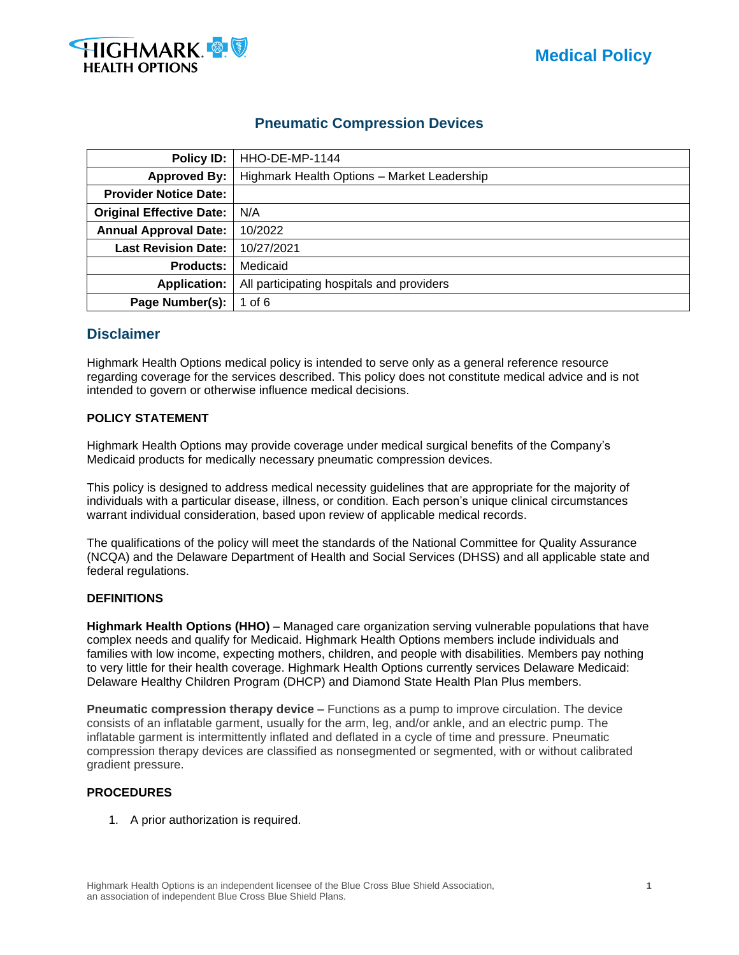



# **Pneumatic Compression Devices**

| Policy ID:                      | HHO-DE-MP-1144                              |
|---------------------------------|---------------------------------------------|
| <b>Approved By:</b>             | Highmark Health Options - Market Leadership |
| <b>Provider Notice Date:</b>    |                                             |
| <b>Original Effective Date:</b> | N/A                                         |
| <b>Annual Approval Date:</b>    | 10/2022                                     |
| <b>Last Revision Date:</b>      | 10/27/2021                                  |
| <b>Products:</b>                | Medicaid                                    |
| <b>Application:</b>             | All participating hospitals and providers   |
| Page Number(s):                 | 1 of $6$                                    |

## **Disclaimer**

Highmark Health Options medical policy is intended to serve only as a general reference resource regarding coverage for the services described. This policy does not constitute medical advice and is not intended to govern or otherwise influence medical decisions.

#### **POLICY STATEMENT**

Highmark Health Options may provide coverage under medical surgical benefits of the Company's Medicaid products for medically necessary pneumatic compression devices.

This policy is designed to address medical necessity guidelines that are appropriate for the majority of individuals with a particular disease, illness, or condition. Each person's unique clinical circumstances warrant individual consideration, based upon review of applicable medical records.

The qualifications of the policy will meet the standards of the National Committee for Quality Assurance (NCQA) and the Delaware Department of Health and Social Services (DHSS) and all applicable state and federal regulations.

#### **DEFINITIONS**

**Highmark Health Options (HHO)** – Managed care organization serving vulnerable populations that have complex needs and qualify for Medicaid. Highmark Health Options members include individuals and families with low income, expecting mothers, children, and people with disabilities. Members pay nothing to very little for their health coverage. Highmark Health Options currently services Delaware Medicaid: Delaware Healthy Children Program (DHCP) and Diamond State Health Plan Plus members.

**Pneumatic compression therapy device** – Functions as a pump to improve circulation. The device consists of an inflatable garment, usually for the arm, leg, and/or ankle, and an electric pump. The inflatable garment is intermittently inflated and deflated in a cycle of time and pressure. Pneumatic compression therapy devices are classified as nonsegmented or segmented, with or without calibrated gradient pressure.

#### **PROCEDURES**

1. A prior authorization is required.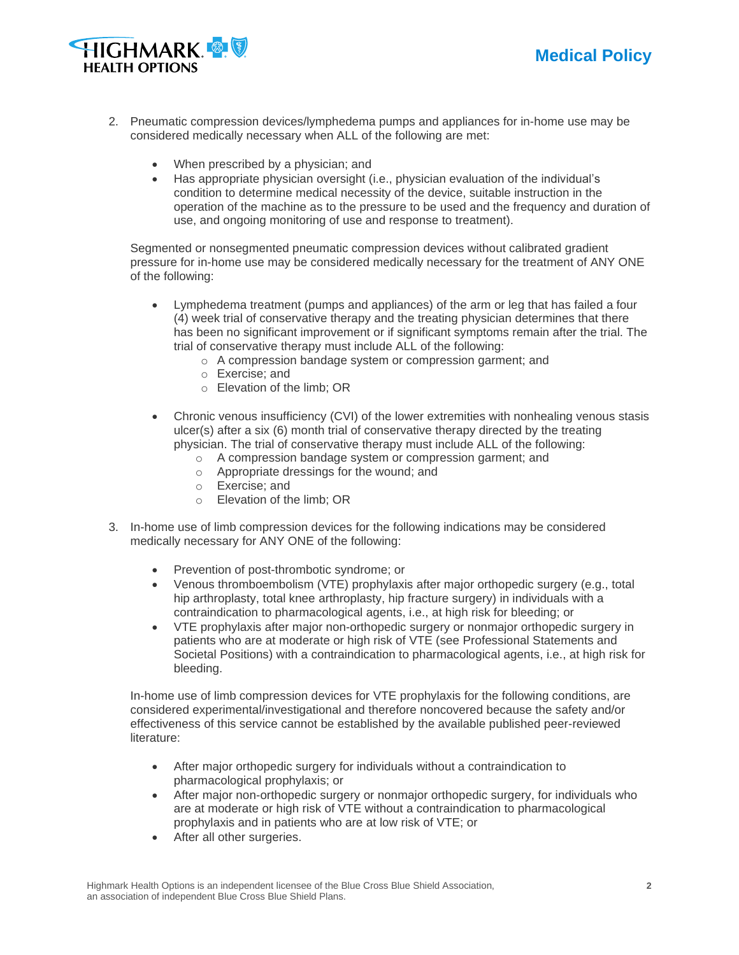



- 2. Pneumatic compression devices/lymphedema pumps and appliances for in-home use may be considered medically necessary when ALL of the following are met:
	- When prescribed by a physician; and
	- Has appropriate physician oversight (i.e., physician evaluation of the individual's condition to determine medical necessity of the device, suitable instruction in the operation of the machine as to the pressure to be used and the frequency and duration of use, and ongoing monitoring of use and response to treatment).

Segmented or nonsegmented pneumatic compression devices without calibrated gradient pressure for in-home use may be considered medically necessary for the treatment of ANY ONE of the following:

- Lymphedema treatment (pumps and appliances) of the arm or leg that has failed a four (4) week trial of conservative therapy and the treating physician determines that there has been no significant improvement or if significant symptoms remain after the trial. The trial of conservative therapy must include ALL of the following:
	- o A compression bandage system or compression garment; and
	- o Exercise; and
	- o Elevation of the limb; OR
- Chronic venous insufficiency (CVI) of the lower extremities with nonhealing venous stasis ulcer(s) after a six (6) month trial of conservative therapy directed by the treating physician. The trial of conservative therapy must include ALL of the following:
	- o A compression bandage system or compression garment; and
	- o Appropriate dressings for the wound; and
	- o Exercise; and
	- o Elevation of the limb; OR
- 3. In-home use of limb compression devices for the following indications may be considered medically necessary for ANY ONE of the following:
	- Prevention of post-thrombotic syndrome; or
	- Venous thromboembolism (VTE) prophylaxis after major orthopedic surgery (e.g., total hip arthroplasty, total knee arthroplasty, hip fracture surgery) in individuals with a contraindication to pharmacological agents, i.e., at high risk for bleeding; or
	- VTE prophylaxis after major non-orthopedic surgery or nonmajor orthopedic surgery in patients who are at moderate or high risk of VTE (see Professional Statements and Societal Positions) with a contraindication to pharmacological agents, i.e., at high risk for bleeding.

In-home use of limb compression devices for VTE prophylaxis for the following conditions, are considered experimental/investigational and therefore noncovered because the safety and/or effectiveness of this service cannot be established by the available published peer-reviewed literature:

- After major orthopedic surgery for individuals without a contraindication to pharmacological prophylaxis; or
- After major non-orthopedic surgery or nonmajor orthopedic surgery, for individuals who are at moderate or high risk of VTE without a contraindication to pharmacological prophylaxis and in patients who are at low risk of VTE; or
- After all other surgeries.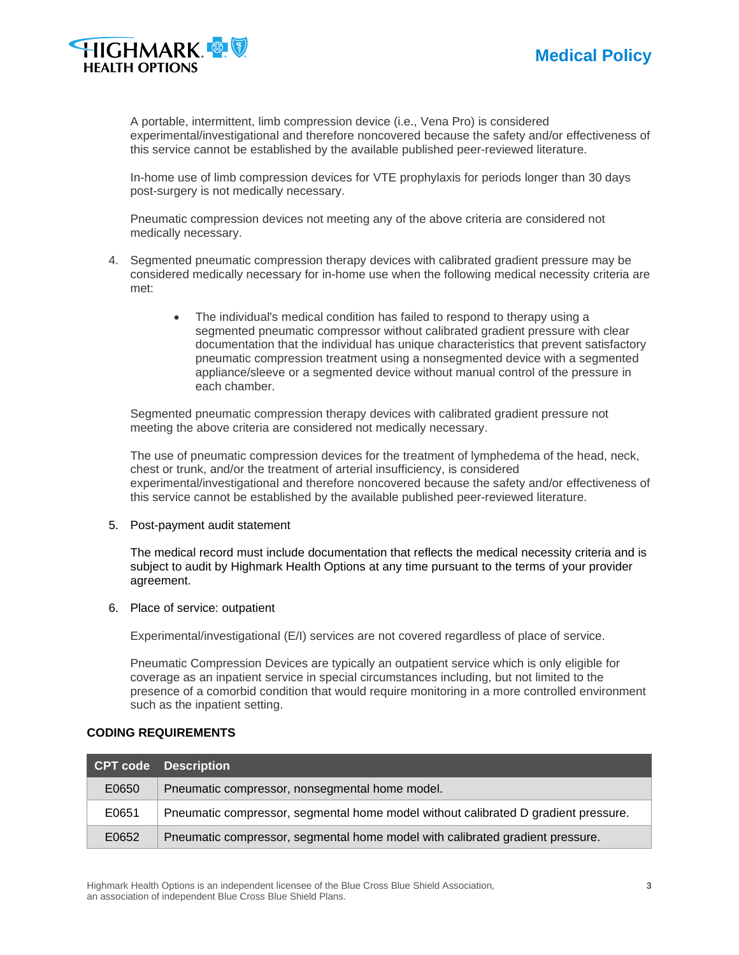



A portable, intermittent, limb compression device (i.e., Vena Pro) is considered experimental/investigational and therefore noncovered because the safety and/or effectiveness of this service cannot be established by the available published peer-reviewed literature.

In-home use of limb compression devices for VTE prophylaxis for periods longer than 30 days post-surgery is not medically necessary.

Pneumatic compression devices not meeting any of the above criteria are considered not medically necessary.

- 4. Segmented pneumatic compression therapy devices with calibrated gradient pressure may be considered medically necessary for in-home use when the following medical necessity criteria are met:
	- The individual's medical condition has failed to respond to therapy using a segmented pneumatic compressor without calibrated gradient pressure with clear documentation that the individual has unique characteristics that prevent satisfactory pneumatic compression treatment using a nonsegmented device with a segmented appliance/sleeve or a segmented device without manual control of the pressure in each chamber.

Segmented pneumatic compression therapy devices with calibrated gradient pressure not meeting the above criteria are considered not medically necessary.

The use of pneumatic compression devices for the treatment of lymphedema of the head, neck, chest or trunk, and/or the treatment of arterial insufficiency, is considered experimental/investigational and therefore noncovered because the safety and/or effectiveness of this service cannot be established by the available published peer-reviewed literature.

5. Post-payment audit statement

The medical record must include documentation that reflects the medical necessity criteria and is subject to audit by Highmark Health Options at any time pursuant to the terms of your provider agreement.

6. Place of service: outpatient

Experimental/investigational (E/I) services are not covered regardless of place of service.

Pneumatic Compression Devices are typically an outpatient service which is only eligible for coverage as an inpatient service in special circumstances including, but not limited to the presence of a comorbid condition that would require monitoring in a more controlled environment such as the inpatient setting.

|       | <b>CPT code</b> Description                                                        |
|-------|------------------------------------------------------------------------------------|
| E0650 | Pneumatic compressor, nonsegmental home model.                                     |
| E0651 | Pneumatic compressor, segmental home model without calibrated D gradient pressure. |
| E0652 | Pneumatic compressor, segmental home model with calibrated gradient pressure.      |

#### **CODING REQUIREMENTS**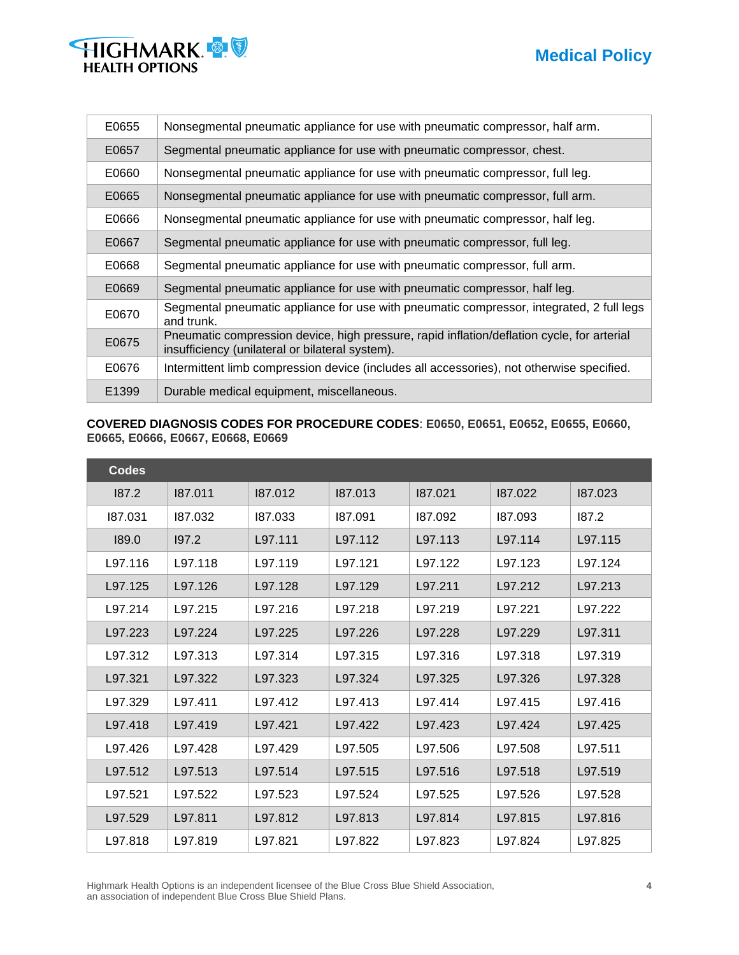# **Medical Policy**



| E0655 | Nonsegmental pneumatic appliance for use with pneumatic compressor, half arm.                                                                 |
|-------|-----------------------------------------------------------------------------------------------------------------------------------------------|
| E0657 | Segmental pneumatic appliance for use with pneumatic compressor, chest.                                                                       |
| E0660 | Nonsegmental pneumatic appliance for use with pneumatic compressor, full leg.                                                                 |
| E0665 | Nonsegmental pneumatic appliance for use with pneumatic compressor, full arm.                                                                 |
| E0666 | Nonsegmental pneumatic appliance for use with pneumatic compressor, half leg.                                                                 |
| E0667 | Segmental pneumatic appliance for use with pneumatic compressor, full leg.                                                                    |
| E0668 | Segmental pneumatic appliance for use with pneumatic compressor, full arm.                                                                    |
| E0669 | Segmental pneumatic appliance for use with pneumatic compressor, half leg.                                                                    |
| E0670 | Segmental pneumatic appliance for use with pneumatic compressor, integrated, 2 full legs<br>and trunk.                                        |
| E0675 | Pneumatic compression device, high pressure, rapid inflation/deflation cycle, for arterial<br>insufficiency (unilateral or bilateral system). |
| E0676 | Intermittent limb compression device (includes all accessories), not otherwise specified.                                                     |
| E1399 | Durable medical equipment, miscellaneous.                                                                                                     |

#### **COVERED DIAGNOSIS CODES FOR PROCEDURE CODES**: **E0650, E0651, E0652, E0655, E0660, E0665, E0666, E0667, E0668, E0669**

| <b>Codes</b> |         |         |         |         |         |         |
|--------------|---------|---------|---------|---------|---------|---------|
| 187.2        | 187.011 | 187.012 | 187.013 | 187.021 | 187.022 | 187.023 |
| 187.031      | 187.032 | 187.033 | 187.091 | 187.092 | 187.093 | 187.2   |
| 189.0        | 197.2   | L97.111 | L97.112 | L97.113 | L97.114 | L97.115 |
| L97.116      | L97.118 | L97.119 | L97.121 | L97.122 | L97.123 | L97.124 |
| L97.125      | L97.126 | L97.128 | L97.129 | L97.211 | L97.212 | L97.213 |
| L97.214      | L97.215 | L97.216 | L97.218 | L97.219 | L97.221 | L97.222 |
| L97.223      | L97.224 | L97.225 | L97.226 | L97.228 | L97.229 | L97.311 |
| L97.312      | L97.313 | L97.314 | L97.315 | L97.316 | L97.318 | L97.319 |
| L97.321      | L97.322 | L97.323 | L97.324 | L97.325 | L97.326 | L97.328 |
| L97.329      | L97.411 | L97.412 | L97.413 | L97.414 | L97.415 | L97.416 |
| L97.418      | L97.419 | L97.421 | L97.422 | L97.423 | L97.424 | L97.425 |
| L97.426      | L97.428 | L97.429 | L97.505 | L97.506 | L97.508 | L97.511 |
| L97.512      | L97.513 | L97.514 | L97.515 | L97.516 | L97.518 | L97.519 |
| L97.521      | L97.522 | L97.523 | L97.524 | L97.525 | L97.526 | L97.528 |
| L97.529      | L97.811 | L97.812 | L97.813 | L97.814 | L97.815 | L97.816 |
| L97.818      | L97.819 | L97.821 | L97.822 | L97.823 | L97.824 | L97.825 |

Highmark Health Options is an independent licensee of the Blue Cross Blue Shield Association, **4** an association of independent Blue Cross Blue Shield Plans.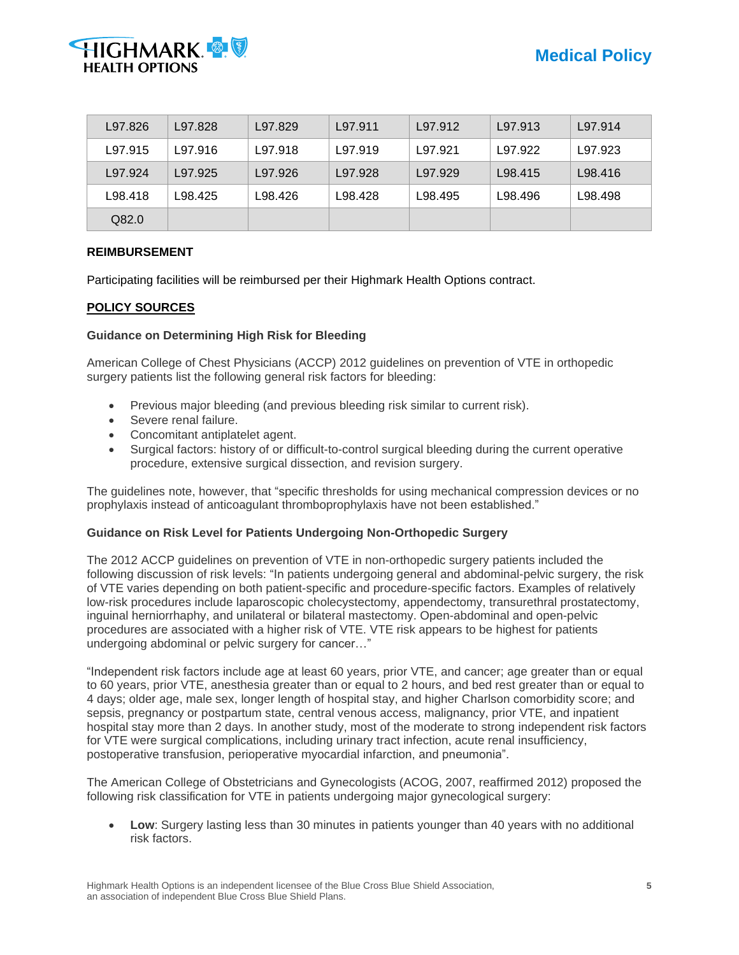

| L97.826 | L97.828 | L97.829 | L97.911 | L97.912 | L97.913 | L97.914 |
|---------|---------|---------|---------|---------|---------|---------|
| L97.915 | L97.916 | L97.918 | L97.919 | L97.921 | L97.922 | L97.923 |
| L97.924 | L97.925 | L97.926 | L97.928 | L97.929 | L98.415 | L98.416 |
| L98.418 | L98.425 | L98.426 | L98.428 | L98.495 | L98.496 | L98.498 |
| Q82.0   |         |         |         |         |         |         |

#### **REIMBURSEMENT**

Participating facilities will be reimbursed per their Highmark Health Options contract.

#### **POLICY SOURCES**

#### **Guidance on Determining High Risk for Bleeding**

American College of Chest Physicians (ACCP) 2012 guidelines on prevention of VTE in orthopedic surgery patients list the following general risk factors for bleeding:

- Previous major bleeding (and previous bleeding risk similar to current risk).
- Severe renal failure.
- Concomitant antiplatelet agent.
- Surgical factors: history of or difficult-to-control surgical bleeding during the current operative procedure, extensive surgical dissection, and revision surgery.

The guidelines note, however, that "specific thresholds for using mechanical compression devices or no prophylaxis instead of anticoagulant thromboprophylaxis have not been established."

#### **Guidance on Risk Level for Patients Undergoing Non-Orthopedic Surgery**

The 2012 ACCP guidelines on prevention of VTE in non-orthopedic surgery patients included the following discussion of risk levels: "In patients undergoing general and abdominal-pelvic surgery, the risk of VTE varies depending on both patient-specific and procedure-specific factors. Examples of relatively low-risk procedures include laparoscopic cholecystectomy, appendectomy, transurethral prostatectomy, inguinal herniorrhaphy, and unilateral or bilateral mastectomy. Open-abdominal and open-pelvic procedures are associated with a higher risk of VTE. VTE risk appears to be highest for patients undergoing abdominal or pelvic surgery for cancer…"

"Independent risk factors include age at least 60 years, prior VTE, and cancer; age greater than or equal to 60 years, prior VTE, anesthesia greater than or equal to 2 hours, and bed rest greater than or equal to 4 days; older age, male sex, longer length of hospital stay, and higher Charlson comorbidity score; and sepsis, pregnancy or postpartum state, central venous access, malignancy, prior VTE, and inpatient hospital stay more than 2 days. In another study, most of the moderate to strong independent risk factors for VTE were surgical complications, including urinary tract infection, acute renal insufficiency, postoperative transfusion, perioperative myocardial infarction, and pneumonia".

The American College of Obstetricians and Gynecologists (ACOG, 2007, reaffirmed 2012) proposed the following risk classification for VTE in patients undergoing major gynecological surgery:

**Low**: Surgery lasting less than 30 minutes in patients younger than 40 years with no additional risk factors.